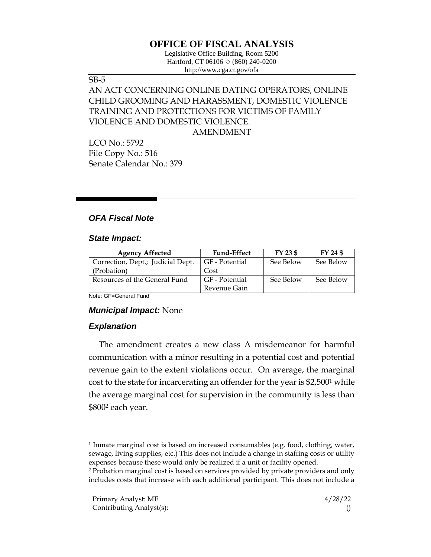# **OFFICE OF FISCAL ANALYSIS**

Legislative Office Building, Room 5200 Hartford, CT 06106  $\Diamond$  (860) 240-0200 http://www.cga.ct.gov/ofa

#### SB-5

## AN ACT CONCERNING ONLINE DATING OPERATORS, ONLINE CHILD GROOMING AND HARASSMENT, DOMESTIC VIOLENCE TRAINING AND PROTECTIONS FOR VICTIMS OF FAMILY VIOLENCE AND DOMESTIC VIOLENCE. AMENDMENT

LCO No.: 5792 File Copy No.: 516 Senate Calendar No.: 379

## *OFA Fiscal Note*

### *State Impact:*

| <b>Agency Affected</b>            | <b>Fund-Effect</b> | FY 23 \$  | FY 24 \$  |
|-----------------------------------|--------------------|-----------|-----------|
| Correction, Dept.; Judicial Dept. | GF - Potential     | See Below | See Below |
| (Probation)                       | Cost               |           |           |
| Resources of the General Fund     | GF - Potential     | See Below | See Below |
|                                   | Revenue Gain       |           |           |

Note: GF=General Fund

### *Municipal Impact:* None

### *Explanation*

The amendment creates a new class A misdemeanor for harmful communication with a minor resulting in a potential cost and potential revenue gain to the extent violations occur. On average, the marginal cost to the state for incarcerating an offender for the year is \$2,500<sup>1</sup> while the average marginal cost for supervision in the community is less than \$800<sup>2</sup> each year.

<sup>1</sup> Inmate marginal cost is based on increased consumables (e.g. food, clothing, water, sewage, living supplies, etc.) This does not include a change in staffing costs or utility expenses because these would only be realized if a unit or facility opened.

<sup>2</sup> Probation marginal cost is based on services provided by private providers and only includes costs that increase with each additional participant. This does not include a